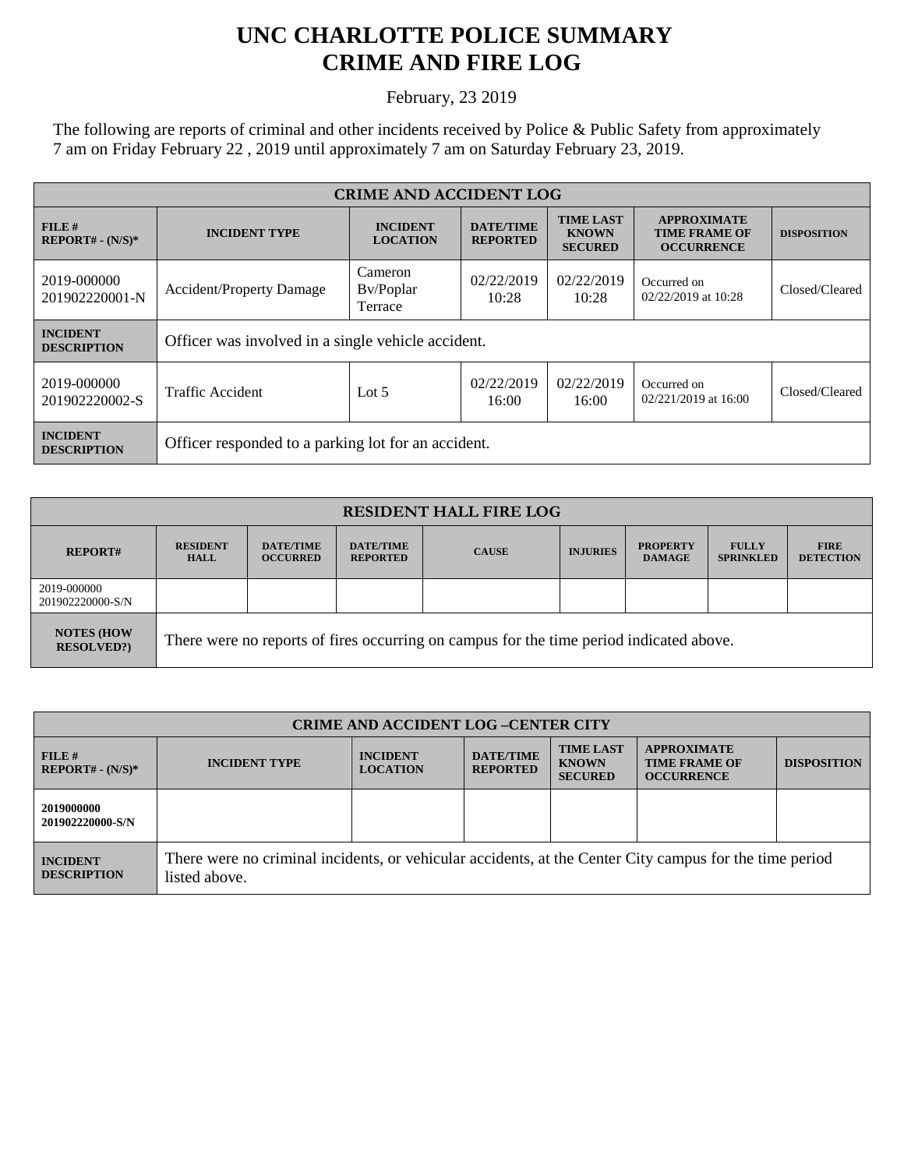## **UNC CHARLOTTE POLICE SUMMARY CRIME AND FIRE LOG**

February, 23 2019

The following are reports of criminal and other incidents received by Police & Public Safety from approximately 7 am on Friday February 22 , 2019 until approximately 7 am on Saturday February 23, 2019.

| <b>CRIME AND ACCIDENT LOG</b>         |                                                     |                                    |                                     |                                                    |                                                                 |                    |  |
|---------------------------------------|-----------------------------------------------------|------------------------------------|-------------------------------------|----------------------------------------------------|-----------------------------------------------------------------|--------------------|--|
| FILE H<br>$REPORT# - (N/S)*$          | <b>INCIDENT TYPE</b>                                | <b>INCIDENT</b><br><b>LOCATION</b> | <b>DATE/TIME</b><br><b>REPORTED</b> | <b>TIME LAST</b><br><b>KNOWN</b><br><b>SECURED</b> | <b>APPROXIMATE</b><br><b>TIME FRAME OF</b><br><b>OCCURRENCE</b> | <b>DISPOSITION</b> |  |
| 2019-000000<br>201902220001-N         | <b>Accident/Property Damage</b>                     | Cameron<br>Bv/Poplar<br>Terrace    | 02/22/2019<br>10:28                 | 02/22/2019<br>10:28                                | Occurred on<br>02/22/2019 at 10:28                              | Closed/Cleared     |  |
| <b>INCIDENT</b><br><b>DESCRIPTION</b> | Officer was involved in a single vehicle accident.  |                                    |                                     |                                                    |                                                                 |                    |  |
| 2019-000000<br>201902220002-S         | Traffic Accident                                    | Lot $5$                            | 02/22/2019<br>16:00                 | 02/22/2019<br>16:00                                | Occurred on<br>$02/221/2019$ at 16:00                           | Closed/Cleared     |  |
| <b>INCIDENT</b><br><b>DESCRIPTION</b> | Officer responded to a parking lot for an accident. |                                    |                                     |                                                    |                                                                 |                    |  |

| <b>RESIDENT HALL FIRE LOG</b>         |                                                                                         |                                     |                                     |              |                 |                                  |                                  |                                 |
|---------------------------------------|-----------------------------------------------------------------------------------------|-------------------------------------|-------------------------------------|--------------|-----------------|----------------------------------|----------------------------------|---------------------------------|
| <b>REPORT#</b>                        | <b>RESIDENT</b><br><b>HALL</b>                                                          | <b>DATE/TIME</b><br><b>OCCURRED</b> | <b>DATE/TIME</b><br><b>REPORTED</b> | <b>CAUSE</b> | <b>INJURIES</b> | <b>PROPERTY</b><br><b>DAMAGE</b> | <b>FULLY</b><br><b>SPRINKLED</b> | <b>FIRE</b><br><b>DETECTION</b> |
| 2019-000000<br>201902220000-S/N       |                                                                                         |                                     |                                     |              |                 |                                  |                                  |                                 |
| <b>NOTES (HOW</b><br><b>RESOLVED?</b> | There were no reports of fires occurring on campus for the time period indicated above. |                                     |                                     |              |                 |                                  |                                  |                                 |

| <b>CRIME AND ACCIDENT LOG-CENTER CITY</b> |                                                                                                                          |                                    |                                     |                                                    |                                                                 |                    |
|-------------------------------------------|--------------------------------------------------------------------------------------------------------------------------|------------------------------------|-------------------------------------|----------------------------------------------------|-----------------------------------------------------------------|--------------------|
| FILE#<br>$REPORT# - (N/S)*$               | <b>INCIDENT TYPE</b>                                                                                                     | <b>INCIDENT</b><br><b>LOCATION</b> | <b>DATE/TIME</b><br><b>REPORTED</b> | <b>TIME LAST</b><br><b>KNOWN</b><br><b>SECURED</b> | <b>APPROXIMATE</b><br><b>TIME FRAME OF</b><br><b>OCCURRENCE</b> | <b>DISPOSITION</b> |
| 2019000000<br>201902220000-S/N            |                                                                                                                          |                                    |                                     |                                                    |                                                                 |                    |
| <b>INCIDENT</b><br><b>DESCRIPTION</b>     | There were no criminal incidents, or vehicular accidents, at the Center City campus for the time period<br>listed above. |                                    |                                     |                                                    |                                                                 |                    |